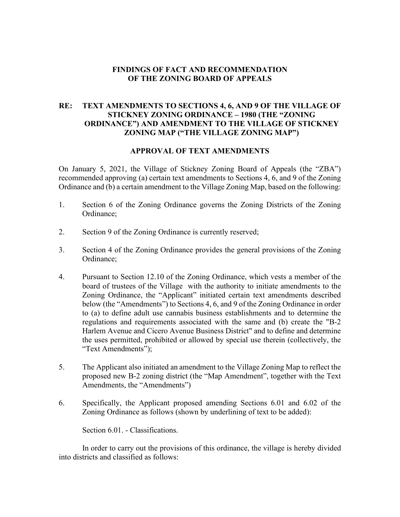### **FINDINGS OF FACT AND RECOMMENDATION OF THE ZONING BOARD OF APPEALS**

## **RE: TEXT AMENDMENTS TO SECTIONS 4, 6, AND 9 OF THE VILLAGE OF STICKNEY ZONING ORDINANCE – 1980 (THE "ZONING ORDINANCE") AND AMENDMENT TO THE VILLAGE OF STICKNEY ZONING MAP ("THE VILLAGE ZONING MAP")**

#### **APPROVAL OF TEXT AMENDMENTS**

On January 5, 2021, the Village of Stickney Zoning Board of Appeals (the "ZBA") recommended approving (a) certain text amendments to Sections 4, 6, and 9 of the Zoning Ordinance and (b) a certain amendment to the Village Zoning Map, based on the following:

- 1. Section 6 of the Zoning Ordinance governs the Zoning Districts of the Zoning Ordinance;
- 2. Section 9 of the Zoning Ordinance is currently reserved;
- 3. Section 4 of the Zoning Ordinance provides the general provisions of the Zoning Ordinance;
- 4. Pursuant to Section 12.10 of the Zoning Ordinance, which vests a member of the board of trustees of the Village with the authority to initiate amendments to the Zoning Ordinance, the "Applicant" initiated certain text amendments described below (the "Amendments") to Sections 4, 6, and 9 of the Zoning Ordinance in order to (a) to define adult use cannabis business establishments and to determine the regulations and requirements associated with the same and (b) create the "B-2 Harlem Avenue and Cicero Avenue Business District" and to define and determine the uses permitted, prohibited or allowed by special use therein (collectively, the "Text Amendments");
- 5. The Applicant also initiated an amendment to the Village Zoning Map to reflect the proposed new B-2 zoning district (the "Map Amendment", together with the Text Amendments, the "Amendments")
- 6. Specifically, the Applicant proposed amending Sections 6.01 and 6.02 of the Zoning Ordinance as follows (shown by underlining of text to be added):

Section 6.01. - Classifications.

In order to carry out the provisions of this ordinance, the village is hereby divided into districts and classified as follows: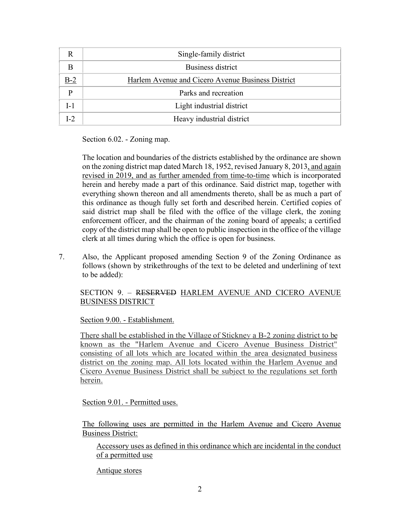|                | Single-family district                            |
|----------------|---------------------------------------------------|
|                | Business district                                 |
| $B-2$          | Harlem Avenue and Cicero Avenue Business District |
| D              | Parks and recreation                              |
| $I-1$          | Light industrial district                         |
| L <sub>2</sub> | Heavy industrial district                         |

Section 6.02. - Zoning map.

The location and boundaries of the districts established by the ordinance are shown on the zoning district map dated March 18, 1952, revised January 8, 2013, and again revised in 2019, and as further amended from time-to-time which is incorporated herein and hereby made a part of this ordinance. Said district map, together with everything shown thereon and all amendments thereto, shall be as much a part of this ordinance as though fully set forth and described herein. Certified copies of said district map shall be filed with the office of the village clerk, the zoning enforcement officer, and the chairman of the zoning board of appeals; a certified copy of the district map shall be open to public inspection in the office of the village clerk at all times during which the office is open for business.

7. Also, the Applicant proposed amending Section 9 of the Zoning Ordinance as follows (shown by strikethroughs of the text to be deleted and underlining of text to be added):

## SECTION 9. – RESERVED HARLEM AVENUE AND CICERO AVENUE BUSINESS DISTRICT

Section 9.00. - Establishment.

There shall be established in the Village of Stickney a B-2 zoning district to be known as the "Harlem Avenue and Cicero Avenue Business District" consisting of all lots which are located within the area designated business district on the zoning map. All lots located within the Harlem Avenue and Cicero Avenue Business District shall be subject to the regulations set forth herein.

Section 9.01. - Permitted uses.

The following uses are permitted in the Harlem Avenue and Cicero Avenue Business District:

Accessory uses as defined in this ordinance which are incidental in the conduct of a permitted use

Antique stores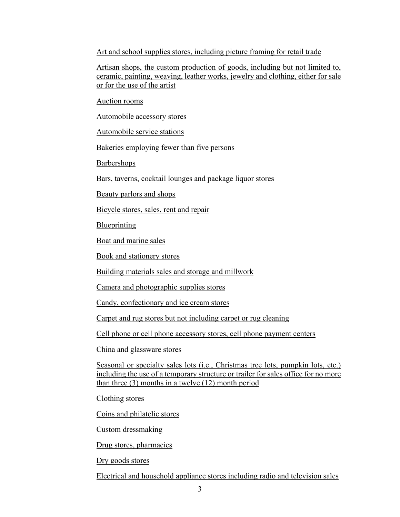Art and school supplies stores, including picture framing for retail trade

Artisan shops, the custom production of goods, including but not limited to, ceramic, painting, weaving, leather works, jewelry and clothing, either for sale or for the use of the artist

Auction rooms

Automobile accessory stores

Automobile service stations

Bakeries employing fewer than five persons

Barbershops

Bars, taverns, cocktail lounges and package liquor stores

Beauty parlors and shops

Bicycle stores, sales, rent and repair

Blueprinting

Boat and marine sales

Book and stationery stores

Building materials sales and storage and millwork

Camera and photographic supplies stores

Candy, confectionary and ice cream stores

Carpet and rug stores but not including carpet or rug cleaning

Cell phone or cell phone accessory stores, cell phone payment centers

China and glassware stores

Seasonal or specialty sales lots (i.e., Christmas tree lots, pumpkin lots, etc.) including the use of a temporary structure or trailer for sales office for no more than three (3) months in a twelve (12) month period

Clothing stores

Coins and philatelic stores

Custom dressmaking

Drug stores, pharmacies

Dry goods stores

Electrical and household appliance stores including radio and television sales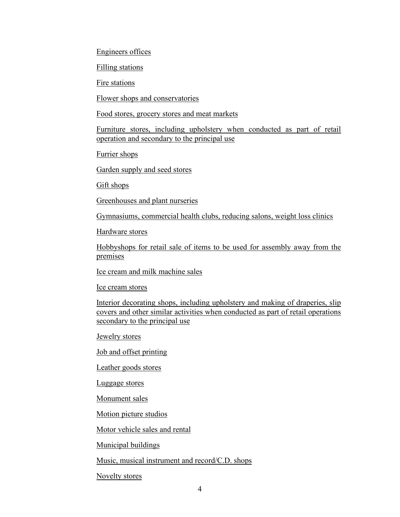Engineers offices

Filling stations

Fire stations

Flower shops and conservatories

Food stores, grocery stores and meat markets

Furniture stores, including upholstery when conducted as part of retail operation and secondary to the principal use

Furrier shops

Garden supply and seed stores

Gift shops

Greenhouses and plant nurseries

Gymnasiums, commercial health clubs, reducing salons, weight loss clinics

Hardware stores

Hobbyshops for retail sale of items to be used for assembly away from the premises

Ice cream and milk machine sales

Ice cream stores

Interior decorating shops, including upholstery and making of draperies, slip covers and other similar activities when conducted as part of retail operations secondary to the principal use

Jewelry stores

Job and offset printing

Leather goods stores

Luggage stores

Monument sales

Motion picture studios

Motor vehicle sales and rental

Municipal buildings

Music, musical instrument and record/C.D. shops

Novelty stores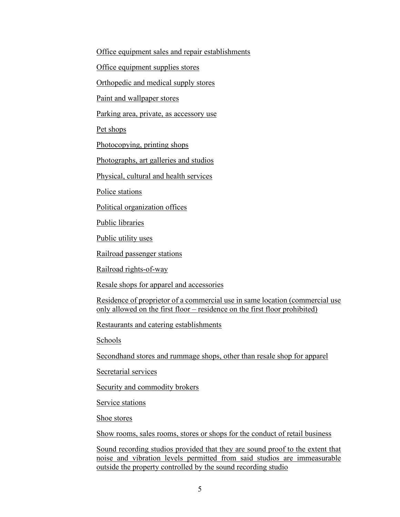Office equipment sales and repair establishments

Office equipment supplies stores

Orthopedic and medical supply stores

Paint and wallpaper stores

Parking area, private, as accessory use

Pet shops

Photocopying, printing shops

Photographs, art galleries and studios

Physical, cultural and health services

Police stations

Political organization offices

Public libraries

Public utility uses

Railroad passenger stations

Railroad rights-of-way

Resale shops for apparel and accessories

Residence of proprietor of a commercial use in same location (commercial use only allowed on the first floor – residence on the first floor prohibited)

Restaurants and catering establishments

Schools

Secondhand stores and rummage shops, other than resale shop for apparel

Secretarial services

Security and commodity brokers

Service stations

Shoe stores

Show rooms, sales rooms, stores or shops for the conduct of retail business

Sound recording studios provided that they are sound proof to the extent that noise and vibration levels permitted from said studios are immeasurable outside the property controlled by the sound recording studio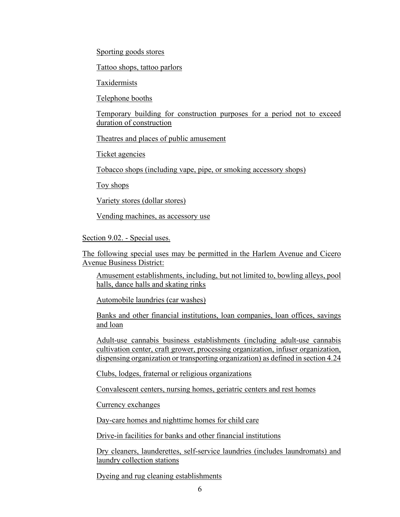Sporting goods stores

Tattoo shops, tattoo parlors

Taxidermists

Telephone booths

Temporary building for construction purposes for a period not to exceed duration of construction

Theatres and places of public amusement

Ticket agencies

Tobacco shops (including vape, pipe, or smoking accessory shops)

Toy shops

Variety stores (dollar stores)

Vending machines, as accessory use

Section 9.02. - Special uses.

The following special uses may be permitted in the Harlem Avenue and Cicero Avenue Business District:

Amusement establishments, including, but not limited to, bowling alleys, pool halls, dance halls and skating rinks

Automobile laundries (car washes)

Banks and other financial institutions, loan companies, loan offices, savings and loan

Adult-use cannabis business establishments (including adult-use cannabis cultivation center, craft grower, processing organization, infuser organization, dispensing organization or transporting organization) as defined in section 4.24

Clubs, lodges, fraternal or religious organizations

Convalescent centers, nursing homes, geriatric centers and rest homes

Currency exchanges

Day-care homes and nighttime homes for child care

Drive-in facilities for banks and other financial institutions

Dry cleaners, launderettes, self-service laundries (includes laundromats) and laundry collection stations

Dyeing and rug cleaning establishments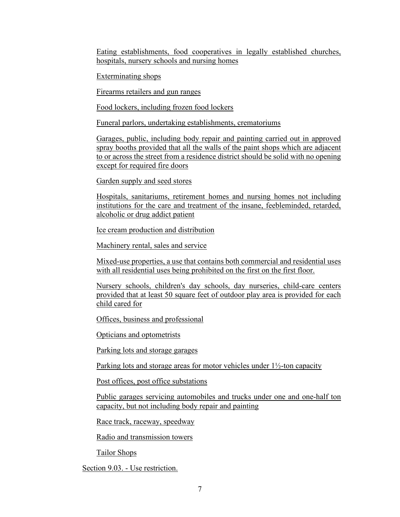Eating establishments, food cooperatives in legally established churches, hospitals, nursery schools and nursing homes

Exterminating shops

Firearms retailers and gun ranges

Food lockers, including frozen food lockers

Funeral parlors, undertaking establishments, crematoriums

Garages, public, including body repair and painting carried out in approved spray booths provided that all the walls of the paint shops which are adjacent to or across the street from a residence district should be solid with no opening except for required fire doors

Garden supply and seed stores

Hospitals, sanitariums, retirement homes and nursing homes not including institutions for the care and treatment of the insane, feebleminded, retarded, alcoholic or drug addict patient

Ice cream production and distribution

Machinery rental, sales and service

Mixed-use properties, a use that contains both commercial and residential uses with all residential uses being prohibited on the first on the first floor.

Nursery schools, children's day schools, day nurseries, child-care centers provided that at least 50 square feet of outdoor play area is provided for each child cared for

Offices, business and professional

Opticians and optometrists

Parking lots and storage garages

Parking lots and storage areas for motor vehicles under 1½-ton capacity

Post offices, post office substations

Public garages servicing automobiles and trucks under one and one-half ton capacity, but not including body repair and painting

Race track, raceway, speedway

Radio and transmission towers

Tailor Shops

Section 9.03. - Use restriction.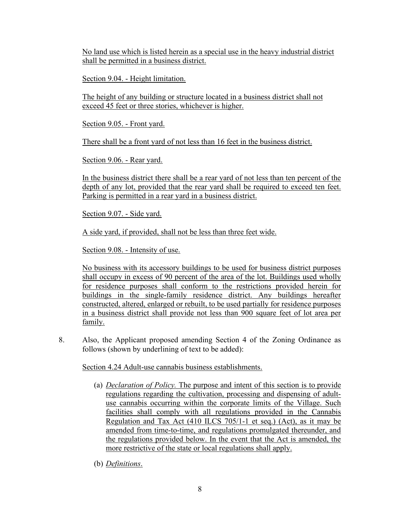No land use which is listed herein as a special use in the heavy industrial district shall be permitted in a business district.

Section 9.04. - Height limitation.

The height of any building or structure located in a business district shall not exceed 45 feet or three stories, whichever is higher.

Section 9.05. - Front yard.

There shall be a front yard of not less than 16 feet in the business district.

Section 9.06. - Rear yard.

In the business district there shall be a rear yard of not less than ten percent of the depth of any lot, provided that the rear yard shall be required to exceed ten feet. Parking is permitted in a rear yard in a business district.

Section 9.07. - Side yard.

A side yard, if provided, shall not be less than three feet wide.

Section 9.08. - Intensity of use.

No business with its accessory buildings to be used for business district purposes shall occupy in excess of 90 percent of the area of the lot. Buildings used wholly for residence purposes shall conform to the restrictions provided herein for buildings in the single-family residence district. Any buildings hereafter constructed, altered, enlarged or rebuilt, to be used partially for residence purposes in a business district shall provide not less than 900 square feet of lot area per family.

8. Also, the Applicant proposed amending Section 4 of the Zoning Ordinance as follows (shown by underlining of text to be added):

Section 4.24 Adult-use cannabis business establishments.

- (a) *Declaration of Policy.* The purpose and intent of this section is to provide regulations regarding the cultivation, processing and dispensing of adultuse cannabis occurring within the corporate limits of the Village. Such facilities shall comply with all regulations provided in the Cannabis Regulation and Tax Act (410 ILCS 705/1-1 et seq.) (Act), as it may be amended from time-to-time, and regulations promulgated thereunder, and the regulations provided below. In the event that the Act is amended, the more restrictive of the state or local regulations shall apply.
- (b) *Definitions*.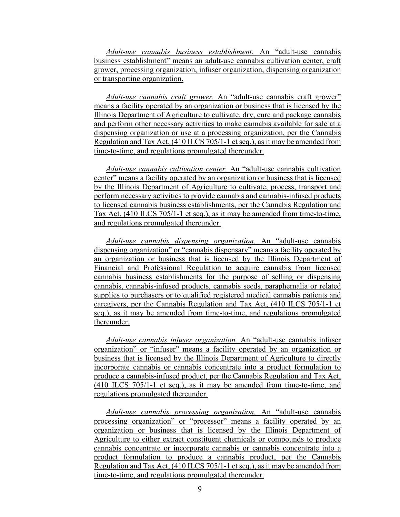*Adult-use cannabis business establishment.* An "adult-use cannabis business establishment" means an adult-use cannabis cultivation center, craft grower, processing organization, infuser organization, dispensing organization or transporting organization.

*Adult-use cannabis craft grower.* An "adult-use cannabis craft grower" means a facility operated by an organization or business that is licensed by the Illinois Department of Agriculture to cultivate, dry, cure and package cannabis and perform other necessary activities to make cannabis available for sale at a dispensing organization or use at a processing organization, per the Cannabis Regulation and Tax Act, (410 ILCS 705/1-1 et seq.), as it may be amended from time-to-time, and regulations promulgated thereunder.

*Adult-use cannabis cultivation center.* An "adult-use cannabis cultivation center" means a facility operated by an organization or business that is licensed by the Illinois Department of Agriculture to cultivate, process, transport and perform necessary activities to provide cannabis and cannabis-infused products to licensed cannabis business establishments, per the Cannabis Regulation and Tax Act, (410 ILCS 705/1-1 et seq.), as it may be amended from time-to-time, and regulations promulgated thereunder.

*Adult-use cannabis dispensing organization.* An "adult-use cannabis dispensing organization" or "cannabis dispensary" means a facility operated by an organization or business that is licensed by the Illinois Department of Financial and Professional Regulation to acquire cannabis from licensed cannabis business establishments for the purpose of selling or dispensing cannabis, cannabis-infused products, cannabis seeds, paraphernalia or related supplies to purchasers or to qualified registered medical cannabis patients and caregivers, per the Cannabis Regulation and Tax Act, (410 ILCS 705/1-1 et seq.), as it may be amended from time-to-time, and regulations promulgated thereunder.

*Adult-use cannabis infuser organization.* An "adult-use cannabis infuser organization" or "infuser" means a facility operated by an organization or business that is licensed by the Illinois Department of Agriculture to directly incorporate cannabis or cannabis concentrate into a product formulation to produce a cannabis-infused product, per the Cannabis Regulation and Tax Act, (410 ILCS 705/1-1 et seq.), as it may be amended from time-to-time, and regulations promulgated thereunder.

*Adult-use cannabis processing organization.* An "adult-use cannabis processing organization" or "processor" means a facility operated by an organization or business that is licensed by the Illinois Department of Agriculture to either extract constituent chemicals or compounds to produce cannabis concentrate or incorporate cannabis or cannabis concentrate into a product formulation to produce a cannabis product, per the Cannabis Regulation and Tax Act, (410 ILCS 705/1-1 et seq.), as it may be amended from time-to-time, and regulations promulgated thereunder.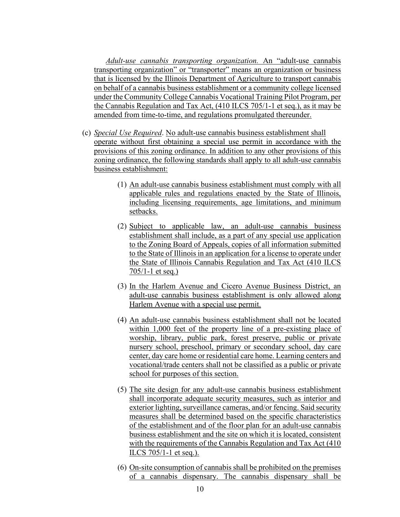*Adult-use cannabis transporting organization.* An "adult-use cannabis transporting organization" or "transporter" means an organization or business that is licensed by the Illinois Department of Agriculture to transport cannabis on behalf of a cannabis business establishment or a community college licensed under the Community College Cannabis Vocational Training Pilot Program, per the Cannabis Regulation and Tax Act, (410 ILCS 705/1-1 et seq.), as it may be amended from time-to-time, and regulations promulgated thereunder.

- (c) *Special Use Required*. No adult-use cannabis business establishment shall operate without first obtaining a special use permit in accordance with the provisions of this zoning ordinance. In addition to any other provisions of this zoning ordinance, the following standards shall apply to all adult-use cannabis business establishment:
	- (1) An adult-use cannabis business establishment must comply with all applicable rules and regulations enacted by the State of Illinois, including licensing requirements, age limitations, and minimum setbacks.
	- (2) Subject to applicable law, an adult-use cannabis business establishment shall include, as a part of any special use application to the Zoning Board of Appeals, copies of all information submitted to the State of Illinois in an application for a license to operate under the State of Illinois Cannabis Regulation and Tax Act (410 ILCS 705/1-1 et seq.)
	- (3) In the Harlem Avenue and Cicero Avenue Business District, an adult-use cannabis business establishment is only allowed along Harlem Avenue with a special use permit.
	- (4) An adult-use cannabis business establishment shall not be located within 1,000 feet of the property line of a pre-existing place of worship, library, public park, forest preserve, public or private nursery school, preschool, primary or secondary school, day care center, day care home or residential care home. Learning centers and vocational/trade centers shall not be classified as a public or private school for purposes of this section.
	- (5) The site design for any adult-use cannabis business establishment shall incorporate adequate security measures, such as interior and exterior lighting, surveillance cameras, and/or fencing. Said security measures shall be determined based on the specific characteristics of the establishment and of the floor plan for an adult-use cannabis business establishment and the site on which it is located, consistent with the requirements of the Cannabis Regulation and Tax Act (410 ILCS 705/1-1 et seq.).
	- (6) On-site consumption of cannabis shall be prohibited on the premises of a cannabis dispensary. The cannabis dispensary shall be